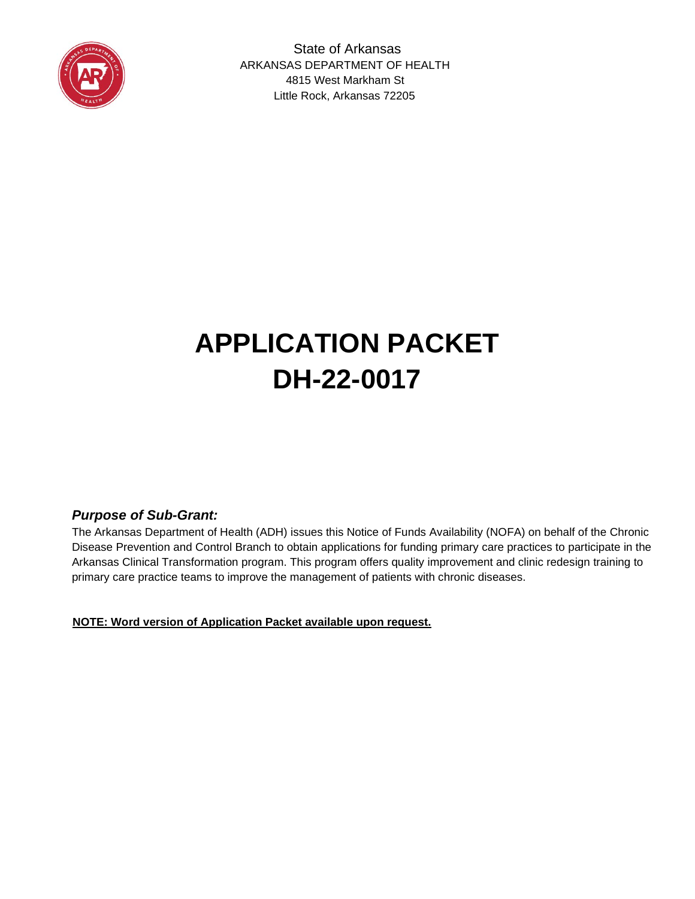

 State of Arkansas ARKANSAS DEPARTMENT OF HEALTH 4815 West Markham St Little Rock, Arkansas 72205

# **APPLICATION PACKET DH-22-0017**

#### *Purpose of Sub-Grant:*

The Arkansas Department of Health (ADH) issues this Notice of Funds Availability (NOFA) on behalf of the Chronic Disease Prevention and Control Branch to obtain applications for funding primary care practices to participate in the Arkansas Clinical Transformation program. This program offers quality improvement and clinic redesign training to primary care practice teams to improve the management of patients with chronic diseases.

U**NOTE: Word version of Application Packet available upon request.**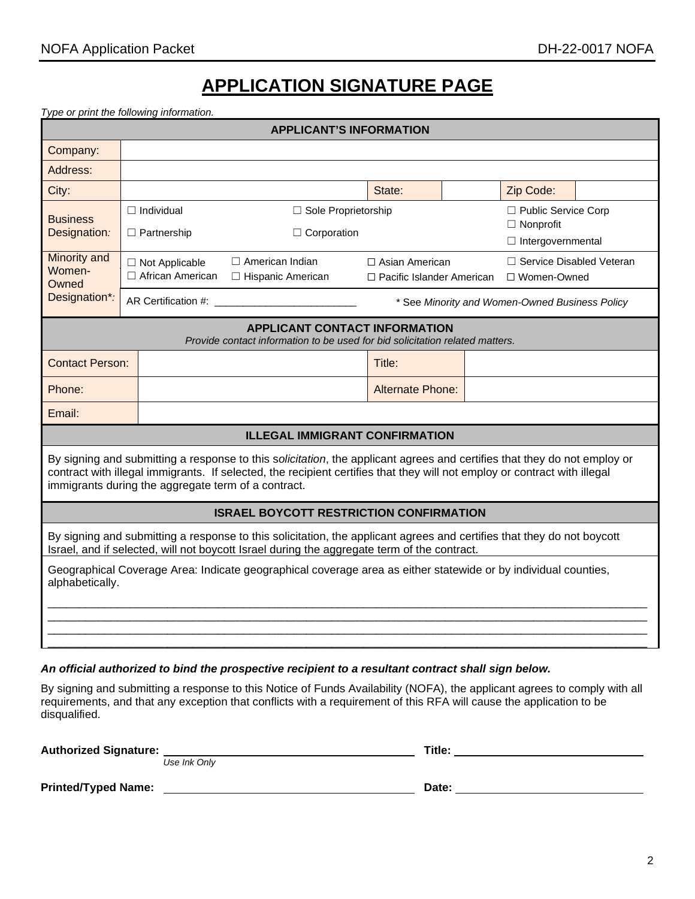### **APPLICATION SIGNATURE PAGE**

*Type or print the following information.*

| <b>APPLICANT'S INFORMATION</b>                                                                                                                                                                                                                                                                               |                                                                                                                                                                      |                                                                                                       |                                                                                                                      |                                                      |  |                                             |  |
|--------------------------------------------------------------------------------------------------------------------------------------------------------------------------------------------------------------------------------------------------------------------------------------------------------------|----------------------------------------------------------------------------------------------------------------------------------------------------------------------|-------------------------------------------------------------------------------------------------------|----------------------------------------------------------------------------------------------------------------------|------------------------------------------------------|--|---------------------------------------------|--|
| Company:                                                                                                                                                                                                                                                                                                     |                                                                                                                                                                      |                                                                                                       |                                                                                                                      |                                                      |  |                                             |  |
| Address:                                                                                                                                                                                                                                                                                                     |                                                                                                                                                                      |                                                                                                       |                                                                                                                      |                                                      |  |                                             |  |
| City:                                                                                                                                                                                                                                                                                                        |                                                                                                                                                                      |                                                                                                       |                                                                                                                      | State:                                               |  | Zip Code:                                   |  |
| <b>Business</b><br>Designation:                                                                                                                                                                                                                                                                              | $\Box$ Individual<br>□ Sole Proprietorship<br>$\Box$ Public Service Corp<br>$\Box$ Nonprofit<br>$\Box$ Corporation<br>$\Box$ Partnership<br>$\Box$ Intergovernmental |                                                                                                       |                                                                                                                      |                                                      |  |                                             |  |
| Minority and<br>Women-<br>Owned                                                                                                                                                                                                                                                                              |                                                                                                                                                                      | $\Box$ Not Applicable<br>□ African American                                                           | $\Box$ American Indian<br>□ Hispanic American                                                                        | $\Box$ Asian American<br>□ Pacific Islander American |  | □ Service Disabled Veteran<br>□ Women-Owned |  |
| Designation*:                                                                                                                                                                                                                                                                                                |                                                                                                                                                                      | AR Certification #: Network and AR Certification #:<br>* See Minority and Women-Owned Business Policy |                                                                                                                      |                                                      |  |                                             |  |
|                                                                                                                                                                                                                                                                                                              |                                                                                                                                                                      |                                                                                                       | <b>APPLICANT CONTACT INFORMATION</b><br>Provide contact information to be used for bid solicitation related matters. |                                                      |  |                                             |  |
| <b>Contact Person:</b>                                                                                                                                                                                                                                                                                       |                                                                                                                                                                      |                                                                                                       |                                                                                                                      | Title:                                               |  |                                             |  |
| Phone:                                                                                                                                                                                                                                                                                                       | <b>Alternate Phone:</b>                                                                                                                                              |                                                                                                       |                                                                                                                      |                                                      |  |                                             |  |
| Email:                                                                                                                                                                                                                                                                                                       |                                                                                                                                                                      |                                                                                                       |                                                                                                                      |                                                      |  |                                             |  |
| <b>ILLEGAL IMMIGRANT CONFIRMATION</b>                                                                                                                                                                                                                                                                        |                                                                                                                                                                      |                                                                                                       |                                                                                                                      |                                                      |  |                                             |  |
| By signing and submitting a response to this solicitation, the applicant agrees and certifies that they do not employ or<br>contract with illegal immigrants. If selected, the recipient certifies that they will not employ or contract with illegal<br>immigrants during the aggregate term of a contract. |                                                                                                                                                                      |                                                                                                       |                                                                                                                      |                                                      |  |                                             |  |
| <b>ISRAEL BOYCOTT RESTRICTION CONFIRMATION</b>                                                                                                                                                                                                                                                               |                                                                                                                                                                      |                                                                                                       |                                                                                                                      |                                                      |  |                                             |  |
| By signing and submitting a response to this solicitation, the applicant agrees and certifies that they do not boycott<br>Israel, and if selected, will not boycott Israel during the aggregate term of the contract.                                                                                        |                                                                                                                                                                      |                                                                                                       |                                                                                                                      |                                                      |  |                                             |  |
| Geographical Coverage Area: Indicate geographical coverage area as either statewide or by individual counties,<br>alphabetically.                                                                                                                                                                            |                                                                                                                                                                      |                                                                                                       |                                                                                                                      |                                                      |  |                                             |  |
|                                                                                                                                                                                                                                                                                                              |                                                                                                                                                                      |                                                                                                       |                                                                                                                      |                                                      |  |                                             |  |

#### *An official authorized to bind the prospective recipient to a resultant contract shall sign below.*

By signing and submitting a response to this Notice of Funds Availability (NOFA), the applicant agrees to comply with all requirements, and that any exception that conflicts with a requirement of this RFA will cause the application to be disqualified.

| <b>Authorized Signature:</b> | Use Ink Only | Title: |
|------------------------------|--------------|--------|
| <b>Printed/Typed Name:</b>   |              | Date:  |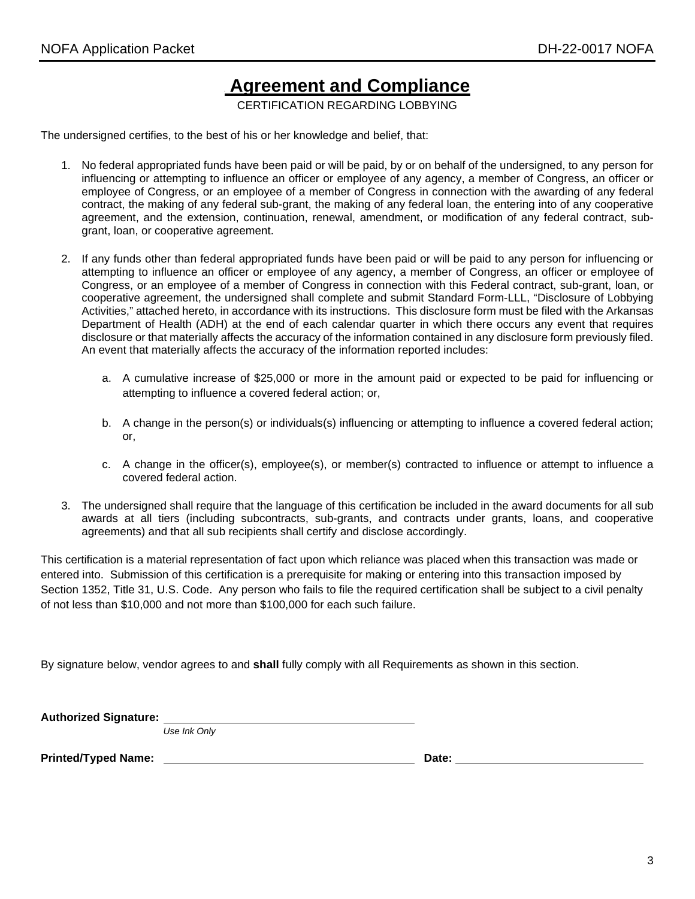## **Agreement and Compliance**

CERTIFICATION REGARDING LOBBYING

The undersigned certifies, to the best of his or her knowledge and belief, that:

- 1. No federal appropriated funds have been paid or will be paid, by or on behalf of the undersigned, to any person for influencing or attempting to influence an officer or employee of any agency, a member of Congress, an officer or employee of Congress, or an employee of a member of Congress in connection with the awarding of any federal contract, the making of any federal sub-grant, the making of any federal loan, the entering into of any cooperative agreement, and the extension, continuation, renewal, amendment, or modification of any federal contract, subgrant, loan, or cooperative agreement.
- 2. If any funds other than federal appropriated funds have been paid or will be paid to any person for influencing or attempting to influence an officer or employee of any agency, a member of Congress, an officer or employee of Congress, or an employee of a member of Congress in connection with this Federal contract, sub-grant, loan, or cooperative agreement, the undersigned shall complete and submit Standard Form-LLL, "Disclosure of Lobbying Activities," attached hereto, in accordance with its instructions. This disclosure form must be filed with the Arkansas Department of Health (ADH) at the end of each calendar quarter in which there occurs any event that requires disclosure or that materially affects the accuracy of the information contained in any disclosure form previously filed. An event that materially affects the accuracy of the information reported includes:
	- a. A cumulative increase of \$25,000 or more in the amount paid or expected to be paid for influencing or attempting to influence a covered federal action; or,
	- b. A change in the person(s) or individuals(s) influencing or attempting to influence a covered federal action; or,
	- c. A change in the officer(s), employee(s), or member(s) contracted to influence or attempt to influence a covered federal action.
- 3. The undersigned shall require that the language of this certification be included in the award documents for all sub awards at all tiers (including subcontracts, sub-grants, and contracts under grants, loans, and cooperative agreements) and that all sub recipients shall certify and disclose accordingly.

This certification is a material representation of fact upon which reliance was placed when this transaction was made or entered into. Submission of this certification is a prerequisite for making or entering into this transaction imposed by Section 1352, Title 31, U.S. Code. Any person who fails to file the required certification shall be subject to a civil penalty of not less than \$10,000 and not more than \$100,000 for each such failure.

By signature below, vendor agrees to and **shall** fully comply with all Requirements as shown in this section.

**Authorized Signature:**

*Use Ink Only*

**Printed/Typed Name: Date:**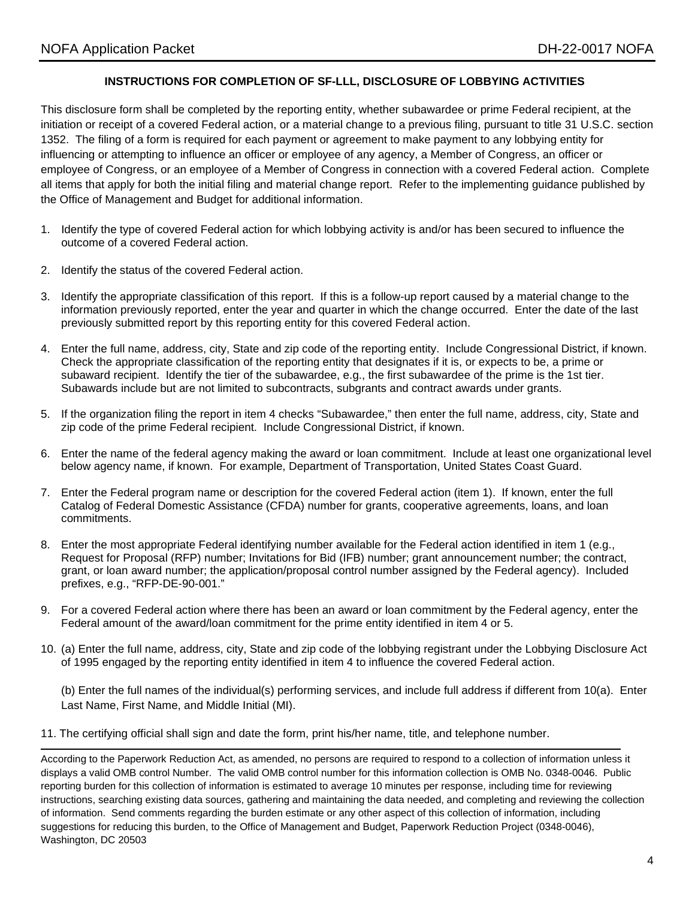#### **INSTRUCTIONS FOR COMPLETION OF SF-LLL, DISCLOSURE OF LOBBYING ACTIVITIES**

This disclosure form shall be completed by the reporting entity, whether subawardee or prime Federal recipient, at the initiation or receipt of a covered Federal action, or a material change to a previous filing, pursuant to title 31 U.S.C. section 1352. The filing of a form is required for each payment or agreement to make payment to any lobbying entity for influencing or attempting to influence an officer or employee of any agency, a Member of Congress, an officer or employee of Congress, or an employee of a Member of Congress in connection with a covered Federal action. Complete all items that apply for both the initial filing and material change report. Refer to the implementing guidance published by the Office of Management and Budget for additional information.

- 1. Identify the type of covered Federal action for which lobbying activity is and/or has been secured to influence the outcome of a covered Federal action.
- 2. Identify the status of the covered Federal action.
- 3. Identify the appropriate classification of this report. If this is a follow-up report caused by a material change to the information previously reported, enter the year and quarter in which the change occurred. Enter the date of the last previously submitted report by this reporting entity for this covered Federal action.
- 4. Enter the full name, address, city, State and zip code of the reporting entity. Include Congressional District, if known. Check the appropriate classification of the reporting entity that designates if it is, or expects to be, a prime or subaward recipient. Identify the tier of the subawardee, e.g., the first subawardee of the prime is the 1st tier. Subawards include but are not limited to subcontracts, subgrants and contract awards under grants.
- 5. If the organization filing the report in item 4 checks "Subawardee," then enter the full name, address, city, State and zip code of the prime Federal recipient. Include Congressional District, if known.
- 6. Enter the name of the federal agency making the award or loan commitment. Include at least one organizational level below agency name, if known. For example, Department of Transportation, United States Coast Guard.
- 7. Enter the Federal program name or description for the covered Federal action (item 1). If known, enter the full Catalog of Federal Domestic Assistance (CFDA) number for grants, cooperative agreements, loans, and loan commitments.
- 8. Enter the most appropriate Federal identifying number available for the Federal action identified in item 1 (e.g., Request for Proposal (RFP) number; Invitations for Bid (IFB) number; grant announcement number; the contract, grant, or loan award number; the application/proposal control number assigned by the Federal agency). Included prefixes, e.g., "RFP-DE-90-001."
- 9. For a covered Federal action where there has been an award or loan commitment by the Federal agency, enter the Federal amount of the award/loan commitment for the prime entity identified in item 4 or 5.
- 10. (a) Enter the full name, address, city, State and zip code of the lobbying registrant under the Lobbying Disclosure Act of 1995 engaged by the reporting entity identified in item 4 to influence the covered Federal action.

(b) Enter the full names of the individual(s) performing services, and include full address if different from 10(a). Enter Last Name, First Name, and Middle Initial (MI).

11. The certifying official shall sign and date the form, print his/her name, title, and telephone number.

According to the Paperwork Reduction Act, as amended, no persons are required to respond to a collection of information unless it displays a valid OMB control Number. The valid OMB control number for this information collection is OMB No. 0348-0046. Public reporting burden for this collection of information is estimated to average 10 minutes per response, including time for reviewing instructions, searching existing data sources, gathering and maintaining the data needed, and completing and reviewing the collection of information. Send comments regarding the burden estimate or any other aspect of this collection of information, including suggestions for reducing this burden, to the Office of Management and Budget, Paperwork Reduction Project (0348-0046), Washington, DC 20503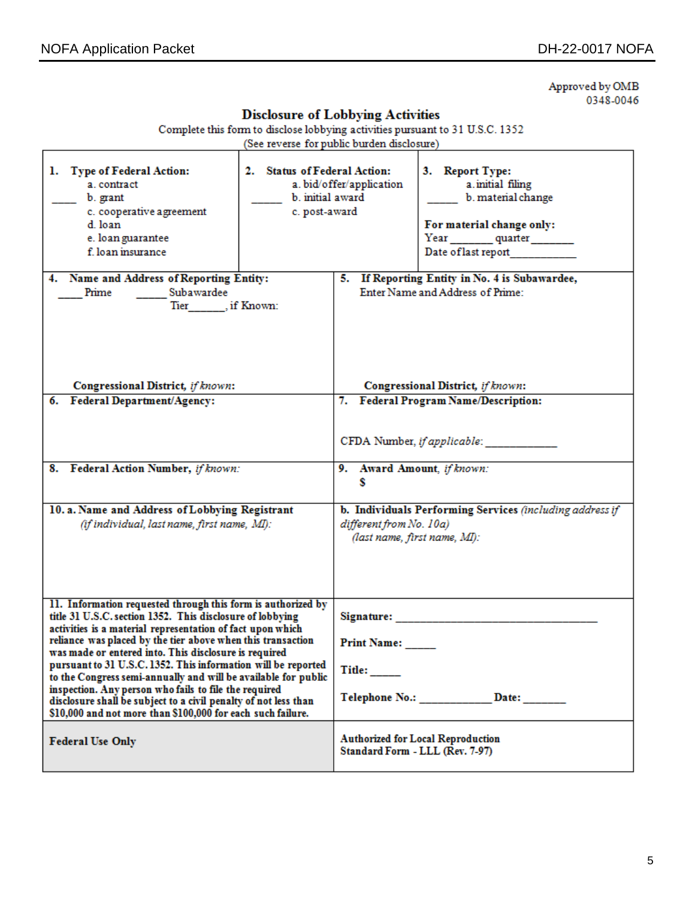Approved by OMB 0348-0046

| <b>Disclosure of Lobbying Activities</b>                                                                                                                                                                                                                                                                                                                                                                                                                                                                                                                                                                                                      |  |                                                                                                                     |                                                                                                                               |  |
|-----------------------------------------------------------------------------------------------------------------------------------------------------------------------------------------------------------------------------------------------------------------------------------------------------------------------------------------------------------------------------------------------------------------------------------------------------------------------------------------------------------------------------------------------------------------------------------------------------------------------------------------------|--|---------------------------------------------------------------------------------------------------------------------|-------------------------------------------------------------------------------------------------------------------------------|--|
| Complete this form to disclose lobbying activities pursuant to 31 U.S.C. 1352<br>(See reverse for public burden disclosure)                                                                                                                                                                                                                                                                                                                                                                                                                                                                                                                   |  |                                                                                                                     |                                                                                                                               |  |
| 1. Type of Federal Action:<br>2. Status of Federal Action:<br>a. contract<br>b. initial award<br>b. grant<br>c. cooperative agreement<br>c. post-award<br>d. loan<br>e. loan guarantee<br>f. loan insurance                                                                                                                                                                                                                                                                                                                                                                                                                                   |  | a. bid/offer/application                                                                                            | 3. Report Type:<br>a initial filing<br>b. material change<br>For material change only:<br>Year quarter<br>Date of last report |  |
| 4. Name and Address of Reporting Entity:<br>Subawardee<br>Prime<br>Tier, if Known:                                                                                                                                                                                                                                                                                                                                                                                                                                                                                                                                                            |  | 5. If Reporting Entity in No. 4 is Subawardee,<br>Enter Name and Address of Prime:                                  |                                                                                                                               |  |
| Congressional District, if known:                                                                                                                                                                                                                                                                                                                                                                                                                                                                                                                                                                                                             |  |                                                                                                                     | Congressional District, if known:                                                                                             |  |
| 6. Federal Department/Agency:<br>8. Federal Action Number, if known:                                                                                                                                                                                                                                                                                                                                                                                                                                                                                                                                                                          |  | 7. Federal Program Name/Description:<br>CFDA Number, if applicable:<br>9. Award Amount, if known:<br>s              |                                                                                                                               |  |
|                                                                                                                                                                                                                                                                                                                                                                                                                                                                                                                                                                                                                                               |  |                                                                                                                     |                                                                                                                               |  |
| 10. a. Name and Address of Lobbying Registrant<br>(if individual, last name, first name, MI):                                                                                                                                                                                                                                                                                                                                                                                                                                                                                                                                                 |  | b. Individuals Performing Services (including address if<br>different from No. 10a)<br>(last name, first name, MI): |                                                                                                                               |  |
| 11. Information requested through this form is authorized by<br>title 31 U.S.C. section 1352. This disclosure of lobbying<br>activities is a material representation of fact upon which<br>reliance was placed by the tier above when this transaction<br>was made or entered into. This disclosure is required<br>pursuant to 31 U.S.C. 1352. This information will be reported<br>to the Congress semi-annually and will be available for public<br>inspection. Any person who fails to file the required<br>disclosure shall be subject to a civil penalty of not less than<br>\$10,000 and not more than \$100,000 for each such failure. |  | Signature:<br>Print Name:<br>Title:<br>Telephone No.: Date:                                                         |                                                                                                                               |  |
| <b>Federal Use Only</b>                                                                                                                                                                                                                                                                                                                                                                                                                                                                                                                                                                                                                       |  | <b>Authorized for Local Reproduction</b><br>Standard Form - LLL (Rev. 7-97)                                         |                                                                                                                               |  |

#### $\mathbf{r}$  and  $\mathbf{r}$ mar in **Carl Street**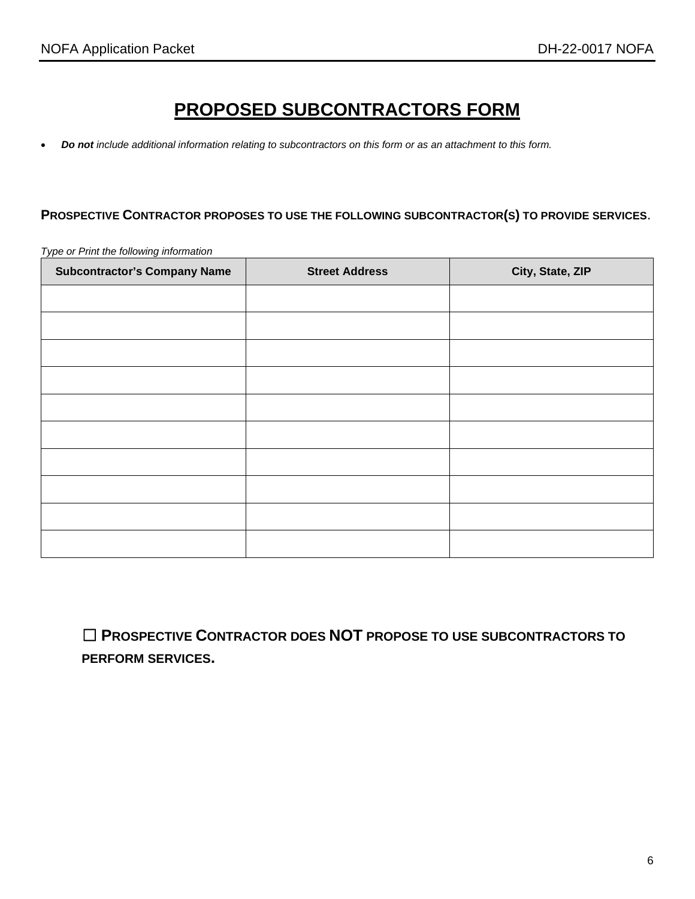## **PROPOSED SUBCONTRACTORS FORM**

• *Do not include additional information relating to subcontractors on this form or as an attachment to this form.* 

#### **PROSPECTIVE CONTRACTOR PROPOSES TO USE THE FOLLOWING SUBCONTRACTOR(S) TO PROVIDE SERVICES**.

**Subcontractor's Company Name**  $\vert$  **Street Address**  $\vert$  **City, State, ZIP** 

*Type or Print the following information*

☐ **PROSPECTIVE CONTRACTOR DOES NOT PROPOSE TO USE SUBCONTRACTORS TO PERFORM SERVICES.**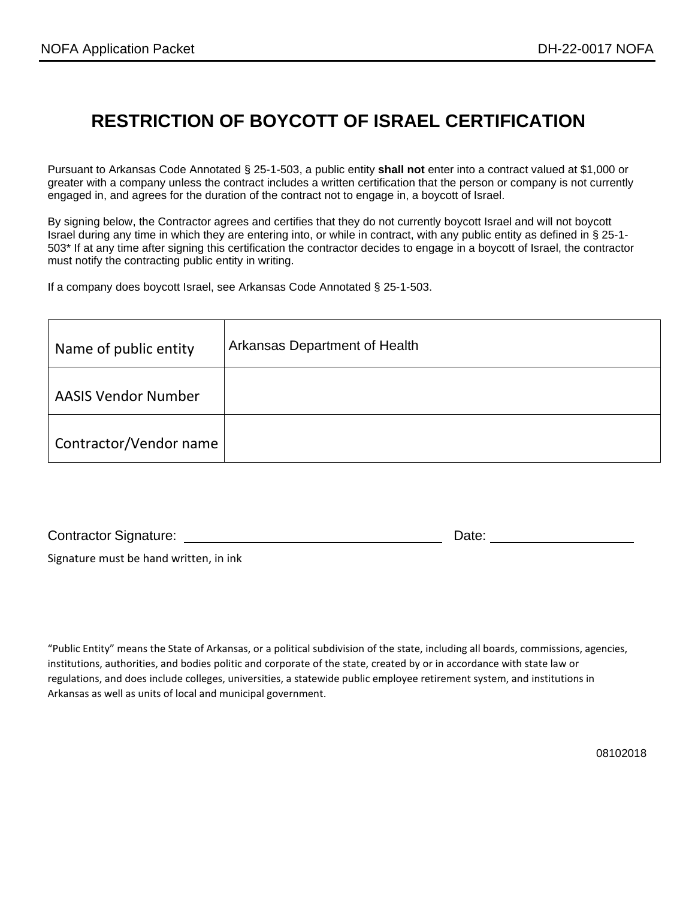### **RESTRICTION OF BOYCOTT OF ISRAEL CERTIFICATION**

Pursuant to Arkansas Code Annotated § 25-1-503, a public entity **shall not** enter into a contract valued at \$1,000 or greater with a company unless the contract includes a written certification that the person or company is not currently engaged in, and agrees for the duration of the contract not to engage in, a boycott of Israel.

By signing below, the Contractor agrees and certifies that they do not currently boycott Israel and will not boycott Israel during any time in which they are entering into, or while in contract, with any public entity as defined in § 25-1- 503\* If at any time after signing this certification the contractor decides to engage in a boycott of Israel, the contractor must notify the contracting public entity in writing.

If a company does boycott Israel, see Arkansas Code Annotated § 25-1-503.

| Name of public entity      | Arkansas Department of Health |
|----------------------------|-------------------------------|
| <b>AASIS Vendor Number</b> |                               |
| Contractor/Vendor name     |                               |

Contractor Signature: Date: Date: Date: Date:

Signature must be hand written, in ink

"Public Entity" means the State of Arkansas, or a political subdivision of the state, including all boards, commissions, agencies, institutions, authorities, and bodies politic and corporate of the state, created by or in accordance with state law or regulations, and does include colleges, universities, a statewide public employee retirement system, and institutions in Arkansas as well as units of local and municipal government.

08102018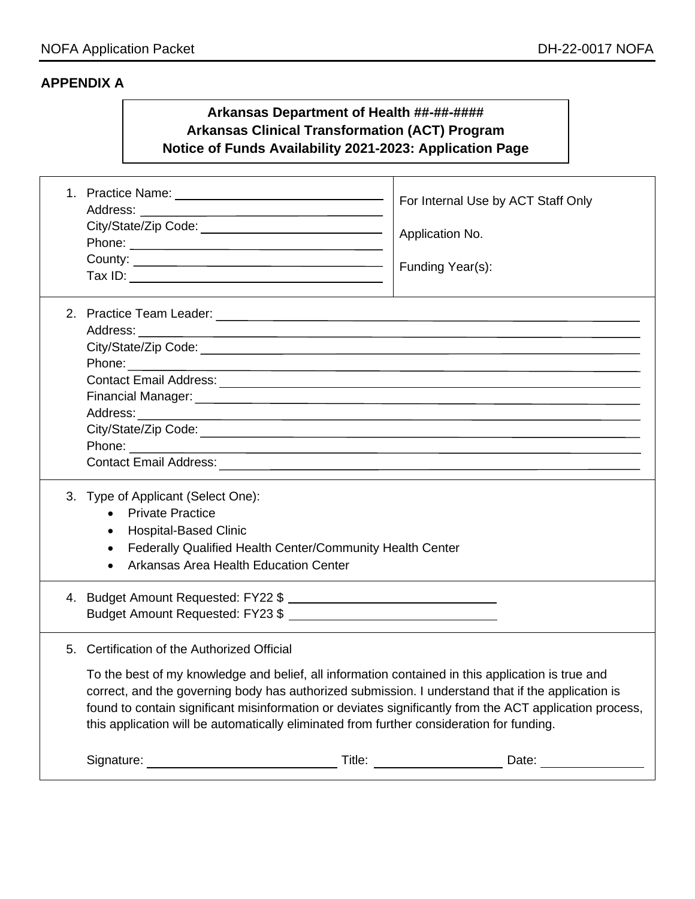#### **APPENDIX A**

#### **Arkansas Department of Health ##-##-#### Arkansas Clinical Transformation (ACT) Program Notice of Funds Availability 2021-2023: Application Page**

| Phone: 2008 - 2008 - 2010 - 2010 - 2010 - 2010 - 2010 - 2010 - 2010 - 2010 - 2010 - 2010 - 2010 - 2010 - 2010                                                                                                                                                                                                                                                                                                                                                  | For Internal Use by ACT Staff Only<br>Application No.<br>Funding Year(s): |  |  |  |
|----------------------------------------------------------------------------------------------------------------------------------------------------------------------------------------------------------------------------------------------------------------------------------------------------------------------------------------------------------------------------------------------------------------------------------------------------------------|---------------------------------------------------------------------------|--|--|--|
|                                                                                                                                                                                                                                                                                                                                                                                                                                                                |                                                                           |  |  |  |
| 3. Type of Applicant (Select One):<br><b>Private Practice</b><br><b>Hospital-Based Clinic</b><br>$\bullet$<br>Federally Qualified Health Center/Community Health Center<br>$\bullet$<br>Arkansas Area Health Education Center                                                                                                                                                                                                                                  |                                                                           |  |  |  |
| Budget Amount Requested: FY23 \$                                                                                                                                                                                                                                                                                                                                                                                                                               |                                                                           |  |  |  |
| 5. Certification of the Authorized Official<br>To the best of my knowledge and belief, all information contained in this application is true and<br>correct, and the governing body has authorized submission. I understand that if the application is<br>found to contain significant misinformation or deviates significantly from the ACT application process,<br>this application will be automatically eliminated from further consideration for funding. |                                                                           |  |  |  |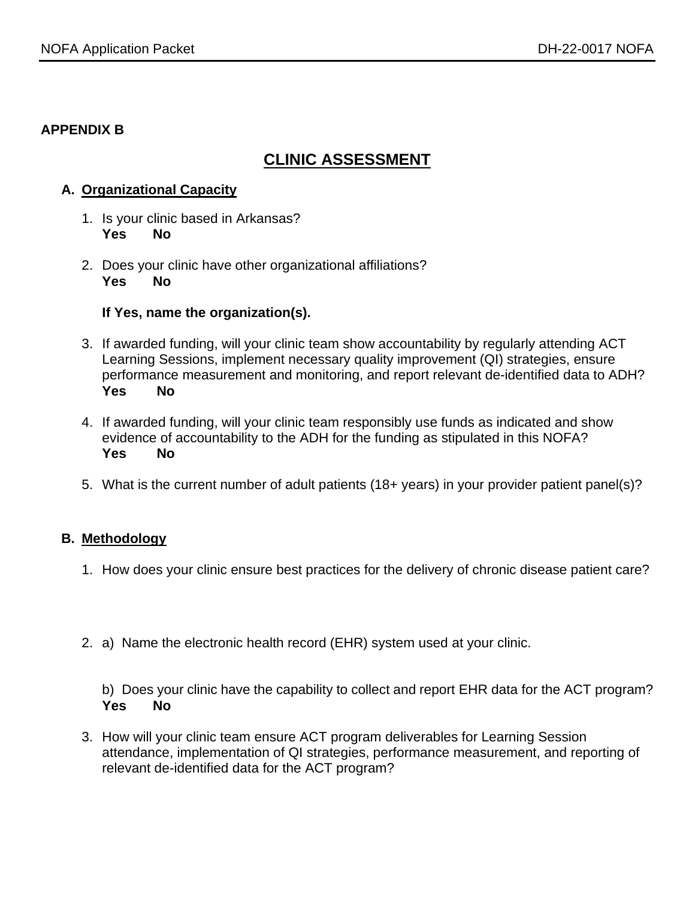#### **APPENDIX B**

### **CLINIC ASSESSMENT**

#### **A. Organizational Capacity**

- 1. Is your clinic based in Arkansas? **Yes No**
- 2. Does your clinic have other organizational affiliations? **Yes No**

#### **If Yes, name the organization(s).**

- 3. If awarded funding, will your clinic team show accountability by regularly attending ACT Learning Sessions, implement necessary quality improvement (QI) strategies, ensure performance measurement and monitoring, and report relevant de-identified data to ADH? **Yes No**
- 4. If awarded funding, will your clinic team responsibly use funds as indicated and show evidence of accountability to the ADH for the funding as stipulated in this NOFA? **Yes No**
- 5. What is the current number of adult patients (18+ years) in your provider patient panel(s)?

#### **B. Methodology**

- 1. How does your clinic ensure best practices for the delivery of chronic disease patient care?
- 2. a) Name the electronic health record (EHR) system used at your clinic.

b) Does your clinic have the capability to collect and report EHR data for the ACT program? **Yes No**

3. How will your clinic team ensure ACT program deliverables for Learning Session attendance, implementation of QI strategies, performance measurement, and reporting of relevant de-identified data for the ACT program?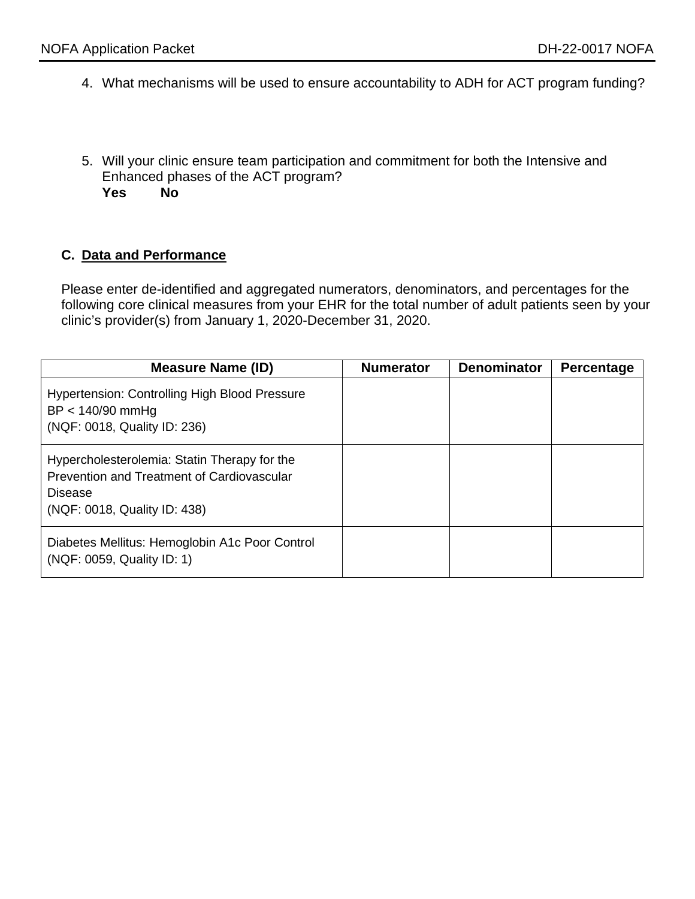- 4. What mechanisms will be used to ensure accountability to ADH for ACT program funding?
- 5. Will your clinic ensure team participation and commitment for both the Intensive and Enhanced phases of the ACT program? **Yes No**

#### **C. Data and Performance**

Please enter de-identified and aggregated numerators, denominators, and percentages for the following core clinical measures from your EHR for the total number of adult patients seen by your clinic's provider(s) from January 1, 2020-December 31, 2020.

| <b>Measure Name (ID)</b>                                                                                                                     | <b>Numerator</b> | <b>Denominator</b> | Percentage |
|----------------------------------------------------------------------------------------------------------------------------------------------|------------------|--------------------|------------|
| <b>Hypertension: Controlling High Blood Pressure</b><br>$BP < 140/90$ mmHg<br>(NQF: 0018, Quality ID: 236)                                   |                  |                    |            |
| Hypercholesterolemia: Statin Therapy for the<br>Prevention and Treatment of Cardiovascular<br><b>Disease</b><br>(NQF: 0018, Quality ID: 438) |                  |                    |            |
| Diabetes Mellitus: Hemoglobin A1c Poor Control<br>(NQF: 0059, Quality ID: 1)                                                                 |                  |                    |            |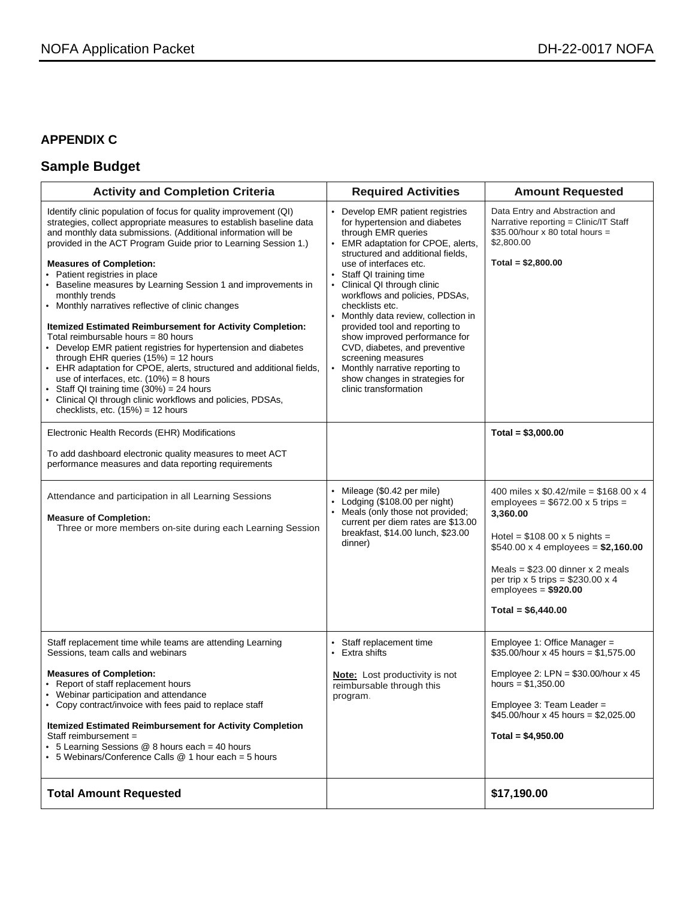#### **APPENDIX C**

### **Sample Budget**

| <b>Activity and Completion Criteria</b>                                                                                                                                                                                                                                                                                                                                                                                                                                                                                                                                                                                                                                                                                                                                                                                                                                                                                                                                   | <b>Required Activities</b>                                                                                                                                                                                                                                                                                                                                                                                                                                                                                                                                              | <b>Amount Requested</b>                                                                                                                                                                                                                                                                                         |
|---------------------------------------------------------------------------------------------------------------------------------------------------------------------------------------------------------------------------------------------------------------------------------------------------------------------------------------------------------------------------------------------------------------------------------------------------------------------------------------------------------------------------------------------------------------------------------------------------------------------------------------------------------------------------------------------------------------------------------------------------------------------------------------------------------------------------------------------------------------------------------------------------------------------------------------------------------------------------|-------------------------------------------------------------------------------------------------------------------------------------------------------------------------------------------------------------------------------------------------------------------------------------------------------------------------------------------------------------------------------------------------------------------------------------------------------------------------------------------------------------------------------------------------------------------------|-----------------------------------------------------------------------------------------------------------------------------------------------------------------------------------------------------------------------------------------------------------------------------------------------------------------|
| Identify clinic population of focus for quality improvement (QI)<br>strategies, collect appropriate measures to establish baseline data<br>and monthly data submissions. (Additional information will be<br>provided in the ACT Program Guide prior to Learning Session 1.)<br><b>Measures of Completion:</b><br>Patient registries in place<br>Baseline measures by Learning Session 1 and improvements in<br>monthly trends<br>• Monthly narratives reflective of clinic changes<br>Itemized Estimated Reimbursement for Activity Completion:<br>Total reimbursable hours = 80 hours<br>• Develop EMR patient registries for hypertension and diabetes<br>through EHR queries $(15%) = 12$ hours<br>• EHR adaptation for CPOE, alerts, structured and additional fields,<br>use of interfaces, etc. $(10%) = 8$ hours<br>Staff QI training time $(30\%) = 24$ hours<br>Clinical QI through clinic workflows and policies, PDSAs,<br>checklists, etc. $(15%) = 12$ hours | • Develop EMR patient registries<br>for hypertension and diabetes<br>through EMR queries<br>• EMR adaptation for CPOE, alerts,<br>structured and additional fields,<br>use of interfaces etc.<br>Staff QI training time<br>Clinical QI through clinic<br>workflows and policies, PDSAs,<br>checklists etc.<br>Monthly data review, collection in<br>provided tool and reporting to<br>show improved performance for<br>CVD, diabetes, and preventive<br>screening measures<br>Monthly narrative reporting to<br>show changes in strategies for<br>clinic transformation | Data Entry and Abstraction and<br>Narrative reporting = Clinic/IT Staff<br>$$35.00/h$ our x 80 total hours =<br>\$2,800.00<br>Total = $$2,800.00$                                                                                                                                                               |
| Electronic Health Records (EHR) Modifications                                                                                                                                                                                                                                                                                                                                                                                                                                                                                                                                                                                                                                                                                                                                                                                                                                                                                                                             |                                                                                                                                                                                                                                                                                                                                                                                                                                                                                                                                                                         | Total = $$3,000.00$                                                                                                                                                                                                                                                                                             |
| To add dashboard electronic quality measures to meet ACT<br>performance measures and data reporting requirements                                                                                                                                                                                                                                                                                                                                                                                                                                                                                                                                                                                                                                                                                                                                                                                                                                                          |                                                                                                                                                                                                                                                                                                                                                                                                                                                                                                                                                                         |                                                                                                                                                                                                                                                                                                                 |
| Attendance and participation in all Learning Sessions<br><b>Measure of Completion:</b><br>Three or more members on-site during each Learning Session                                                                                                                                                                                                                                                                                                                                                                                                                                                                                                                                                                                                                                                                                                                                                                                                                      | • Mileage (\$0.42 per mile)<br>• Lodging (\$108.00 per night)<br>Meals (only those not provided;<br>current per diem rates are \$13.00<br>breakfast, \$14.00 lunch, \$23.00<br>dinner)                                                                                                                                                                                                                                                                                                                                                                                  | 400 miles x $$0.42$ /mile = \$168.00 x 4<br>employees = $$672.00 \times 5$ trips =<br>3,360.00<br>Hotel = $$108.00 \times 5$ nights =<br>$$540.00 \times 4$ employees = \$2,160.00<br>Meals = $$23.00$ dinner x 2 meals<br>per trip $x 5$ trips = \$230.00 $x 4$<br>$employes = $920.00$<br>Total = $$6,440.00$ |
| Staff replacement time while teams are attending Learning<br>Sessions, team calls and webinars                                                                                                                                                                                                                                                                                                                                                                                                                                                                                                                                                                                                                                                                                                                                                                                                                                                                            | Staff replacement time<br>• Extra shifts                                                                                                                                                                                                                                                                                                                                                                                                                                                                                                                                | Employee 1: Office Manager =<br>$$35.00/h$ our x 45 hours = \$1,575.00                                                                                                                                                                                                                                          |
| <b>Measures of Completion:</b><br>• Report of staff replacement hours<br>• Webinar participation and attendance<br>• Copy contract/invoice with fees paid to replace staff<br><b>Itemized Estimated Reimbursement for Activity Completion</b><br>Staff reimbursement =<br>• 5 Learning Sessions @ 8 hours each = 40 hours<br>• 5 Webinars/Conference Calls @ 1 hour each = 5 hours                                                                                                                                                                                                                                                                                                                                                                                                                                                                                                                                                                                        | <b>Note:</b> Lost productivity is not<br>reimbursable through this<br>program.                                                                                                                                                                                                                                                                                                                                                                                                                                                                                          | Employee 2: LPN = $$30.00/h$ our x 45<br>hours = $$1,350.00$<br>Employee 3: Team Leader =<br>$$45.00/h$ our x 45 hours = \$2,025.00<br>Total = $$4,950.00$                                                                                                                                                      |
| <b>Total Amount Requested</b>                                                                                                                                                                                                                                                                                                                                                                                                                                                                                                                                                                                                                                                                                                                                                                                                                                                                                                                                             |                                                                                                                                                                                                                                                                                                                                                                                                                                                                                                                                                                         | \$17,190.00                                                                                                                                                                                                                                                                                                     |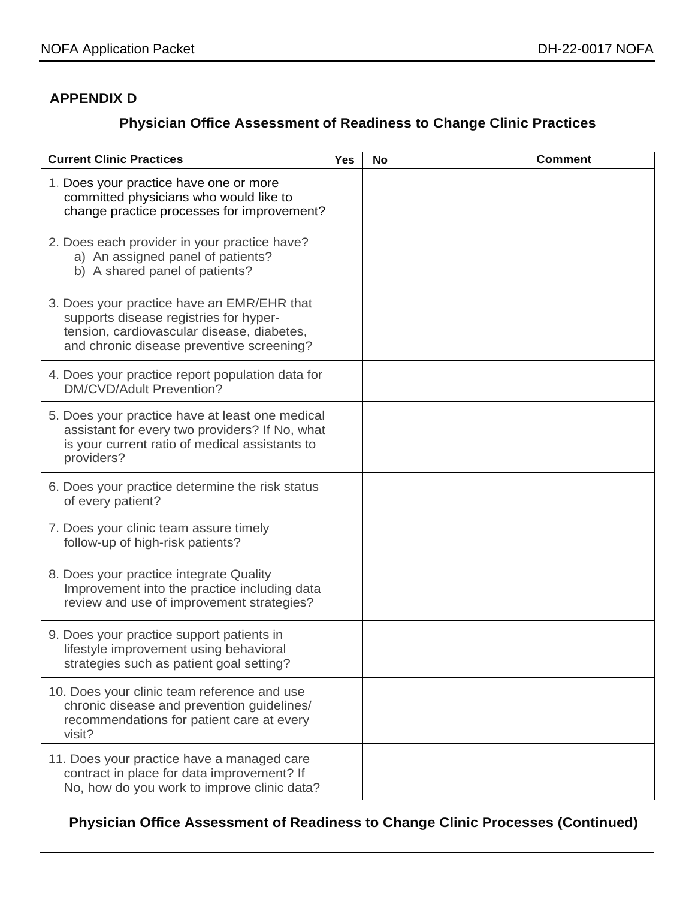#### **APPENDIX D**

### **Physician Office Assessment of Readiness to Change Clinic Practices**

| <b>Current Clinic Practices</b>                                                                                                                                                 | <b>Yes</b> | <b>No</b> | <b>Comment</b> |
|---------------------------------------------------------------------------------------------------------------------------------------------------------------------------------|------------|-----------|----------------|
| 1. Does your practice have one or more<br>committed physicians who would like to<br>change practice processes for improvement?                                                  |            |           |                |
| 2. Does each provider in your practice have?<br>a) An assigned panel of patients?<br>b) A shared panel of patients?                                                             |            |           |                |
| 3. Does your practice have an EMR/EHR that<br>supports disease registries for hyper-<br>tension, cardiovascular disease, diabetes,<br>and chronic disease preventive screening? |            |           |                |
| 4. Does your practice report population data for<br>DM/CVD/Adult Prevention?                                                                                                    |            |           |                |
| 5. Does your practice have at least one medical<br>assistant for every two providers? If No, what<br>is your current ratio of medical assistants to<br>providers?               |            |           |                |
| 6. Does your practice determine the risk status<br>of every patient?                                                                                                            |            |           |                |
| 7. Does your clinic team assure timely<br>follow-up of high-risk patients?                                                                                                      |            |           |                |
| 8. Does your practice integrate Quality<br>Improvement into the practice including data<br>review and use of improvement strategies?                                            |            |           |                |
| 9. Does your practice support patients in<br>lifestyle improvement using behavioral<br>strategies such as patient goal setting?                                                 |            |           |                |
| 10. Does your clinic team reference and use<br>chronic disease and prevention guidelines/<br>recommendations for patient care at every<br>visit?                                |            |           |                |
| 11. Does your practice have a managed care<br>contract in place for data improvement? If<br>No, how do you work to improve clinic data?                                         |            |           |                |

**Physician Office Assessment of Readiness to Change Clinic Processes (Continued)**